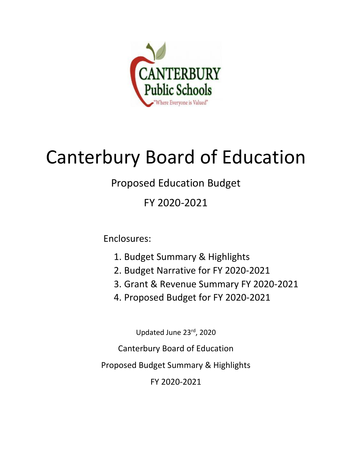

# Canterbury Board of Education

# Proposed Education Budget

FY 2020-2021

Enclosures:

- 1. Budget Summary & Highlights
- 2. Budget Narrative for FY 2020-2021
- 3. Grant & Revenue Summary FY 2020-2021
- 4. Proposed Budget for FY 2020-2021

Updated June 23rd, 2020

Canterbury Board of Education

Proposed Budget Summary & Highlights

FY 2020-2021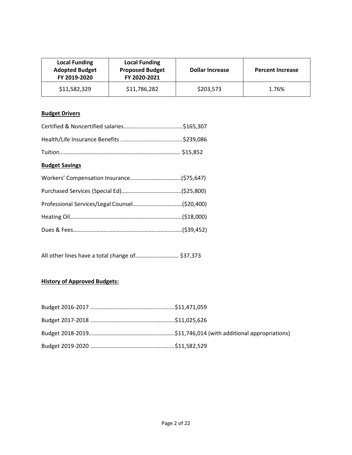| <b>Local Funding</b><br><b>Adopted Budget</b><br>FY 2019-2020 | <b>Local Funding</b><br><b>Proposed Budget</b><br>FY 2020-2021 | <b>Dollar Increase</b> | <b>Percent Increase</b> |
|---------------------------------------------------------------|----------------------------------------------------------------|------------------------|-------------------------|
| \$11,582,329                                                  | \$11,786,282                                                   | \$203,573              | 1.76%                   |

# **Budget Drivers**

# **Budget Savings**

All other lines have a total change of………………………… \$37,373

# **History of Approved Budgets:**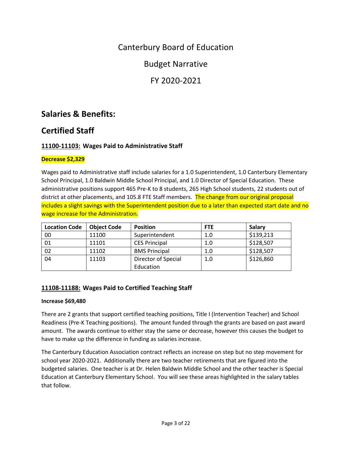# Canterbury Board of Education

Budget Narrative

FY 2020-2021

# **Salaries & Benefits:**

# **Certified Staff**

# **11100-11103: Wages Paid to Administrative Staff**

# **Decrease \$2,329**

Wages paid to Administrative staff include salaries for a 1.0 Superintendent, 1.0 Canterbury Elementary School Principal, 1.0 Baldwin Middle School Principal, and 1.0 Director of Special Education. These administrative positions support 465 Pre-K to 8 students, 265 High School students, 22 students out of district at other placements, and 105.8 FTE Staff members. The change from our original proposal includes a slight savings with the Superintendent position due to a later than expected start date and no wage increase for the Administration.

| <b>Location Code</b> | <b>Object Code</b> | <b>Position</b>      | <b>FTE</b> | Salary    |
|----------------------|--------------------|----------------------|------------|-----------|
| 00                   | 11100              | Superintendent       | 1.0        | \$139,213 |
| 01                   | 11101              | <b>CES Principal</b> | 1.0        | \$128,507 |
| 02                   | 11102              | <b>BMS Principal</b> | 1.0        | \$128,507 |
| 04                   | 11103              | Director of Special  | 1.0        | \$126,860 |
|                      |                    | Education            |            |           |

# **11108-11188: Wages Paid to Certified Teaching Staff**

# **Increase \$69,480**

There are 2 grants that support certified teaching positions, Title I (Intervention Teacher) and School Readiness (Pre-K Teaching positions). The amount funded through the grants are based on past award amount. The awards continue to either stay the same or decrease, however this causes the budget to have to make up the difference in funding as salaries increase.

The Canterbury Education Association contract reflects an increase on step but no step movement for school year 2020-2021. Additionally there are two teacher retirements that are figured into the budgeted salaries. One teacher is at Dr. Helen Baldwin Middle School and the other teacher is Special Education at Canterbury Elementary School. You will see these areas highlighted in the salary tables that follow.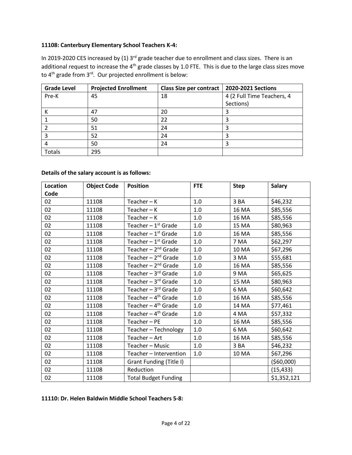### **11108: Canterbury Elementary School Teachers K-4:**

In 2019-2020 CES increased by (1) 3<sup>rd</sup> grade teacher due to enrollment and class sizes. There is an additional request to increase the 4<sup>th</sup> grade classes by 1.0 FTE. This is due to the large class sizes move to 4<sup>th</sup> grade from 3<sup>rd</sup>. Our projected enrollment is below:

| <b>Grade Level</b> | <b>Projected Enrollment</b> | <b>Class Size per contract</b> | 2020-2021 Sections         |
|--------------------|-----------------------------|--------------------------------|----------------------------|
| Pre-K              | 45                          | 18                             | 4 (2 Full Time Teachers, 4 |
|                    |                             |                                | Sections)                  |
|                    | 47                          | 20                             |                            |
|                    | 50                          | 22                             |                            |
|                    | 51                          | 24                             |                            |
|                    | 52                          | 24                             |                            |
|                    | 50                          | 24                             |                            |
| Totals             | 295                         |                                |                            |

### **Details of the salary account is as follows:**

| <b>Location</b> | <b>Object Code</b> | <b>Position</b>                  | <b>FTE</b> | <b>Step</b>  | <b>Salary</b> |
|-----------------|--------------------|----------------------------------|------------|--------------|---------------|
| Code            |                    |                                  |            |              |               |
| 02              | 11108              | $Teacher - K$                    | 1.0        | 3 BA         | \$46,232      |
| 02              | 11108              | $Teacher - K$                    | 1.0        | 16 MA        | \$85,556      |
| 02              | 11108              | Teacher $-K$                     | 1.0        | <b>16 MA</b> | \$85,556      |
| 02              | 11108              | Teacher $-1$ <sup>st</sup> Grade | 1.0        | 15 MA        | \$80,963      |
| 02              | 11108              | Teacher $-1$ <sup>st</sup> Grade | 1.0        | <b>16 MA</b> | \$85,556      |
| 02              | 11108              | Teacher $-1$ <sup>st</sup> Grade | 1.0        | 7 MA         | \$62,297      |
| 02              | 11108              | Teacher $-2^{nd}$ Grade          | 1.0        | 10 MA        | \$67,296      |
| 02              | 11108              | Teacher $-2^{nd}$ Grade          | 1.0        | 3 MA         | \$55,681      |
| 02              | 11108              | Teacher $-2^{nd}$ Grade          | 1.0        | 16 MA        | \$85,556      |
| 02              | 11108              | Teacher $-3$ <sup>rd</sup> Grade | 1.0        | 9 MA         | \$65,625      |
| 02              | 11108              | Teacher $-3$ <sup>rd</sup> Grade | $1.0$      | 15 MA        | \$80,963      |
| 02              | 11108              | Teacher $-3$ <sup>rd</sup> Grade | 1.0        | 6 MA         | \$60,642      |
| 02              | 11108              | Teacher $-4$ <sup>th</sup> Grade | 1.0        | <b>16 MA</b> | \$85,556      |
| 02              | 11108              | Teacher - 4 <sup>th</sup> Grade  | 1.0        | 14 MA        | \$77,461      |
| 02              | 11108              | Teacher - 4 <sup>th</sup> Grade  | $1.0\,$    | 4 MA         | \$57,332      |
| 02              | 11108              | Teacher-PE                       | 1.0        | 16 MA        | \$85,556      |
| 02              | 11108              | Teacher - Technology             | 1.0        | 6 MA         | \$60,642      |
| 02              | 11108              | Teacher - Art                    | 1.0        | 16 MA        | \$85,556      |
| 02              | 11108              | Teacher - Music                  | 1.0        | 3BA          | \$46,232      |
| 02              | 11108              | Teacher - Intervention           | 1.0        | 10 MA        | \$67,296      |
| 02              | 11108              | Grant Funding (Title I)          |            |              | (560,000)     |
| 02              | 11108              | Reduction                        |            |              | (15, 433)     |
| 02              | 11108              | <b>Total Budget Funding</b>      |            |              | \$1,352,121   |

# **11110: Dr. Helen Baldwin Middle School Teachers 5-8:**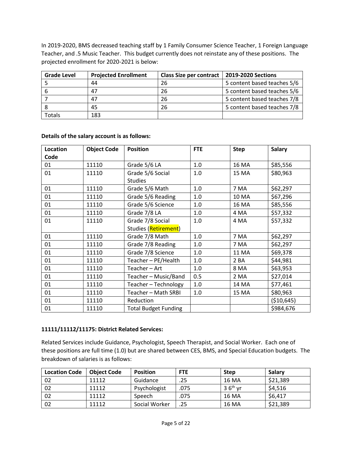In 2019-2020, BMS decreased teaching staff by 1 Family Consumer Science Teacher, 1 Foreign Language Teacher, and .5 Music Teacher. This budget currently does not reinstate any of these positions. The projected enrollment for 2020-2021 is below:

| <b>Grade Level</b> | <b>Projected Enrollment</b> | Class Size per contract | 2019-2020 Sections          |
|--------------------|-----------------------------|-------------------------|-----------------------------|
|                    | 44                          | 26                      | 5 content based teaches 5/6 |
|                    | 47                          | 26                      | 5 content based teaches 5/6 |
|                    | 47                          | 26                      | 5 content based teaches 7/8 |
|                    | 45                          | 26                      | 5 content based teaches 7/8 |
| <sup>r</sup> otals | 183                         |                         |                             |

### **Details of the salary account is as follows:**

| Location | <b>Object Code</b> | <b>Position</b>             | <b>FTE</b> | <b>Step</b> | <b>Salary</b> |
|----------|--------------------|-----------------------------|------------|-------------|---------------|
| Code     |                    |                             |            |             |               |
| 01       | 11110              | Grade 5/6 LA                | 1.0        | 16 MA       | \$85,556      |
| 01       | 11110              | Grade 5/6 Social            | 1.0        | 15 MA       | \$80,963      |
|          |                    | <b>Studies</b>              |            |             |               |
| 01       | 11110              | Grade 5/6 Math              | 1.0        | 7 MA        | \$62,297      |
| 01       | 11110              | Grade 5/6 Reading           | 1.0        | 10 MA       | \$67,296      |
| 01       | 11110              | Grade 5/6 Science           | 1.0        | 16 MA       | \$85,556      |
| 01       | 11110              | Grade 7/8 LA                | 1.0        | 4 MA        | \$57,332      |
| 01       | 11110              | Grade 7/8 Social            | $1.0\,$    | 4 MA        | \$57,332      |
|          |                    | Studies (Retirement)        |            |             |               |
| 01       | 11110              | Grade 7/8 Math              | 1.0        | 7 MA        | \$62,297      |
| 01       | 11110              | Grade 7/8 Reading           | 1.0        | 7 MA        | \$62,297      |
| 01       | 11110              | Grade 7/8 Science           | 1.0        | 11 MA       | \$69,378      |
| 01       | 11110              | Teacher - PE/Health         | 1.0        | 2BA         | \$44,981      |
| 01       | 11110              | Teacher-Art                 | 1.0        | <b>8 MA</b> | \$63,953      |
| 01       | 11110              | Teacher - Music/Band        | 0.5        | 2 MA        | \$27,014      |
| 01       | 11110              | Teacher - Technology        | 1.0        | 14 MA       | \$77,461      |
| 01       | 11110              | Teacher - Math SRBI         | 1.0        | 15 MA       | \$80,963      |
| 01       | 11110              | Reduction                   |            |             | ( \$10,645)   |
| 01       | 11110              | <b>Total Budget Funding</b> |            |             | \$984,676     |

### **11111/11112/11175: District Related Services:**

Related Services include Guidance, Psychologist, Speech Therapist, and Social Worker. Each one of these positions are full time (1.0) but are shared between CES, BMS, and Special Education budgets. The breakdown of salaries is as follows:

| <b>Location Code</b> | <b>Object Code</b> | <b>Position</b> | <b>FTE</b> | <b>Step</b>            | Salarv   |
|----------------------|--------------------|-----------------|------------|------------------------|----------|
| 02                   | 11112              | Guidance        | .25        | 16 MA                  | \$21,389 |
| 02                   | 11112              | Psychologist    | .075       | $3.6$ <sup>th</sup> vr | \$4,516  |
| 02                   | 11112              | Speech          | .075       | 16 MA                  | \$6,417  |
| 02                   | 11112              | Social Worker   | .25        | 16 MA                  | \$21,389 |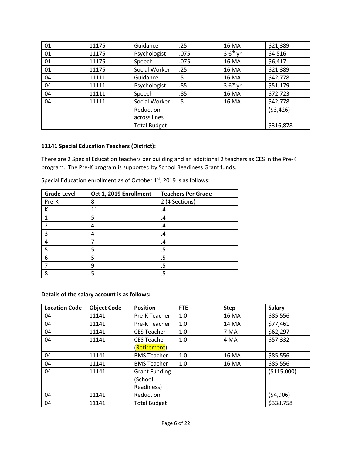| 01 | 11175 | Guidance            | .25  | 16 MA     | \$21,389  |
|----|-------|---------------------|------|-----------|-----------|
| 01 | 11175 | Psychologist        | .075 | $36th$ yr | \$4,516   |
| 01 | 11175 | Speech              | .075 | 16 MA     | \$6,417   |
| 01 | 11175 | Social Worker       | .25  | 16 MA     | \$21,389  |
| 04 | 11111 | Guidance            | .5   | 16 MA     | \$42,778  |
| 04 | 11111 | Psychologist        | .85  | $36th$ yr | \$51,179  |
| 04 | 11111 | Speech              | .85  | 16 MA     | \$72,723  |
| 04 | 11111 | Social Worker       | .5   | 16 MA     | \$42,778  |
|    |       | Reduction           |      |           | (53, 426) |
|    |       | across lines        |      |           |           |
|    |       | <b>Total Budget</b> |      |           | \$316,878 |

### **11141 Special Education Teachers (District):**

There are 2 Special Education teachers per building and an additional 2 teachers as CES in the Pre-K program. The Pre-K program is supported by School Readiness Grant funds.

| <b>Grade Level</b> | Oct 1, 2019 Enrollment | <b>Teachers Per Grade</b> |
|--------------------|------------------------|---------------------------|
| Pre-K              | 8                      | 2 (4 Sections)            |
|                    | 11                     | .4                        |
|                    | 5                      | .4                        |
| $\mathcal{P}$      |                        | .4                        |
| 3                  | 4                      | .4                        |
|                    |                        | .4                        |
| 5                  | 5                      | .5                        |
| 6                  | 5                      | .5                        |
|                    | q                      | .5                        |
| 8                  | 5                      | .5                        |

Special Education enrollment as of October  $1<sup>st</sup>$ , 2019 is as follows:

### **Details of the salary account is as follows:**

| <b>Location Code</b> | <b>Object Code</b> | <b>Position</b>      | <b>FTE</b> | <b>Step</b> | <b>Salary</b> |
|----------------------|--------------------|----------------------|------------|-------------|---------------|
| 04                   | 11141              | Pre-K Teacher        | 1.0        | 16 MA       | \$85,556      |
| 04                   | 11141              | Pre-K Teacher        | 1.0        | 14 MA       | \$77,461      |
| 04                   | 11141              | <b>CES Teacher</b>   | 1.0        | 7 MA        | \$62,297      |
| 04                   | 11141              | <b>CES Teacher</b>   | 1.0        | 4 MA        | \$57,332      |
|                      |                    | (Retirement)         |            |             |               |
| 04                   | 11141              | <b>BMS Teacher</b>   | 1.0        | 16 MA       | \$85,556      |
| 04                   | 11141              | <b>BMS Teacher</b>   | 1.0        | 16 MA       | \$85,556      |
| 04                   | 11141              | <b>Grant Funding</b> |            |             | ( \$115,000)  |
|                      |                    | (School              |            |             |               |
|                      |                    | Readiness)           |            |             |               |
| 04                   | 11141              | Reduction            |            |             | (54,906)      |
| 04                   | 11141              | <b>Total Budget</b>  |            |             | \$338,758     |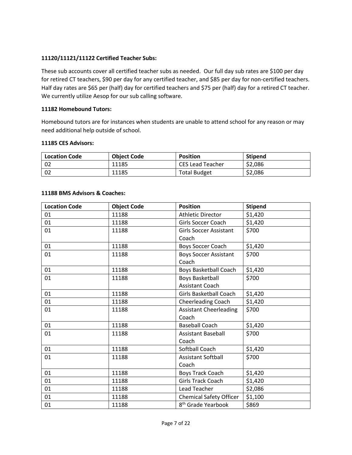### **11120/11121/11122 Certified Teacher Subs:**

These sub accounts cover all certified teacher subs as needed. Our full day sub rates are \$100 per day for retired CT teachers, \$90 per day for any certified teacher, and \$85 per day for non-certified teachers. Half day rates are \$65 per (half) day for certified teachers and \$75 per (half) day for a retired CT teacher. We currently utilize Aesop for our sub calling software.

### **11182 Homebound Tutors:**

Homebound tutors are for instances when students are unable to attend school for any reason or may need additional help outside of school.

#### **11185 CES Advisors:**

| <b>Location Code</b> | <b>Object Code</b> | <b>Position</b>         | <b>Stipend</b> |
|----------------------|--------------------|-------------------------|----------------|
| -02                  | 11185              | <b>CES Lead Teacher</b> | \$2,086        |
| 02                   | 11185              | <b>Total Budget</b>     | \$2,086        |

#### **11188 BMS Advisors & Coaches:**

| <b>Location Code</b> | <b>Object Code</b> | <b>Position</b>                | <b>Stipend</b> |
|----------------------|--------------------|--------------------------------|----------------|
| 01                   | 11188              | <b>Athletic Director</b>       | \$1,420        |
| 01                   | 11188              | Girls Soccer Coach             | \$1,420        |
| 01                   | 11188              | <b>Girls Soccer Assistant</b>  | \$700          |
|                      |                    | Coach                          |                |
| 01                   | 11188              | Boys Soccer Coach              | \$1,420        |
| 01                   | 11188              | <b>Boys Soccer Assistant</b>   | \$700          |
|                      |                    | Coach                          |                |
| 01                   | 11188              | Boys Basketball Coach          | \$1,420        |
| 01                   | 11188              | <b>Boys Basketball</b>         | \$700          |
|                      |                    | <b>Assistant Coach</b>         |                |
| 01                   | 11188              | Girls Basketball Coach         | \$1,420        |
| 01                   | 11188              | <b>Cheerleading Coach</b>      | \$1,420        |
| 01                   | 11188              | <b>Assistant Cheerleading</b>  | \$700          |
|                      |                    | Coach                          |                |
| 01                   | 11188              | <b>Baseball Coach</b>          | \$1,420        |
| 01                   | 11188              | <b>Assistant Baseball</b>      | \$700          |
|                      |                    | Coach                          |                |
| 01                   | 11188              | Softball Coach                 | \$1,420        |
| 01                   | 11188              | <b>Assistant Softball</b>      | \$700          |
|                      |                    | Coach                          |                |
| 01                   | 11188              | <b>Boys Track Coach</b>        | \$1,420        |
| 01                   | 11188              | <b>Girls Track Coach</b>       | \$1,420        |
| 01                   | 11188              | Lead Teacher                   | \$2,086        |
| 01                   | 11188              | <b>Chemical Safety Officer</b> | \$1,100        |
| 01                   | 11188              | 8 <sup>th</sup> Grade Yearbook | \$869          |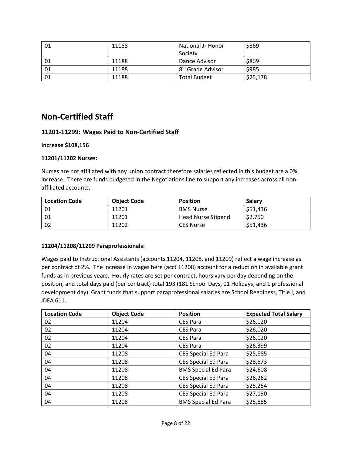| 01 | 11188 | <b>National Jr Honor</b>      | \$869    |
|----|-------|-------------------------------|----------|
|    |       | Society                       |          |
|    | 11188 | Dance Advisor                 | \$869    |
| 01 | 11188 | 8 <sup>th</sup> Grade Advisor | \$985    |
| 01 | 11188 | <b>Total Budget</b>           | \$25,178 |

# **Non-Certified Staff**

# **11201-11299: Wages Paid to Non-Certified Staff**

### **Increase \$108,156**

### **11201/11202 Nurses:**

Nurses are not affiliated with any union contract therefore salaries reflected in this budget are a 0% increase. There are funds budgeted in the Negotiations line to support any increases across all nonaffiliated accounts.

| <b>Location Code</b> | <b>Object Code</b> | <b>Position</b>    | Salary   |
|----------------------|--------------------|--------------------|----------|
| 01                   | 11201              | <b>BMS Nurse</b>   | \$51,436 |
| 01                   | 11201              | Head Nurse Stipend | \$2,750  |
| 02                   | 11202              | <b>CES Nurse</b>   | \$51,436 |

### **11204/11208/11209 Paraprofessionals:**

Wages paid to Instructional Assistants (accounts 11204, 11208, and 11209) reflect a wage increase as per contract of 2%. The increase in wages here (acct 11208) account for a reduction in available grant funds as in previous years. Hourly rates are set per contract, hours vary per day depending on the position, and total days paid (per contract) total 193 (181 School Days, 11 Holidays, and 1 professional development day) Grant funds that support paraprofessional salaries are School Readiness, Title I, and IDEA 611.

| <b>Location Code</b> | <b>Object Code</b> | <b>Position</b>            | <b>Expected Total Salary</b> |
|----------------------|--------------------|----------------------------|------------------------------|
| 02                   | 11204              | <b>CES Para</b>            | \$26,020                     |
| 02                   | 11204              | <b>CES Para</b>            | \$26,020                     |
| 02                   | 11204              | <b>CES Para</b>            | \$26,020                     |
| 02                   | 11204              | <b>CES Para</b>            | \$26,399                     |
| 04                   | 11208              | <b>CES Special Ed Para</b> | \$25,885                     |
| 04                   | 11208              | <b>CES Special Ed Para</b> | \$28,573                     |
| 04                   | 11208              | <b>BMS Special Ed Para</b> | \$24,608                     |
| 04                   | 11208              | <b>CES Special Ed Para</b> | \$26,262                     |
| 04                   | 11208              | CES Special Ed Para        | \$25,254                     |
| 04                   | 11208              | <b>CES Special Ed Para</b> | \$27,190                     |
| 04                   | 11208              | <b>BMS Special Ed Para</b> | \$25,885                     |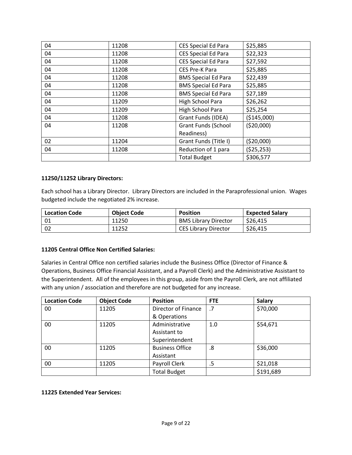| 04 | 11208 | <b>CES Special Ed Para</b> | \$25,885     |
|----|-------|----------------------------|--------------|
| 04 | 11208 | <b>CES Special Ed Para</b> | \$22,323     |
| 04 | 11208 | <b>CES Special Ed Para</b> | \$27,592     |
| 04 | 11208 | CES Pre-K Para             | \$25,885     |
| 04 | 11208 | <b>BMS Special Ed Para</b> | \$22,439     |
| 04 | 11208 | <b>BMS Special Ed Para</b> | \$25,885     |
| 04 | 11208 | <b>BMS Special Ed Para</b> | \$27,189     |
| 04 | 11209 | High School Para           | \$26,262     |
| 04 | 11209 | High School Para           | \$25,254     |
| 04 | 11208 | <b>Grant Funds (IDEA)</b>  | ( \$145,000) |
| 04 | 11208 | <b>Grant Funds (School</b> | (520,000)    |
|    |       | Readiness)                 |              |
| 02 | 11204 | Grant Funds (Title I)      | (520,000)    |
| 04 | 11208 | Reduction of 1 para        | (525, 253)   |
|    |       | <b>Total Budget</b>        | \$306,577    |

# **11250/11252 Library Directors:**

Each school has a Library Director. Library Directors are included in the Paraprofessional union. Wages budgeted include the negotiated 2% increase.

| <b>Location Code</b> | <b>Object Code</b> | <b>Position</b>             | <b>Expected Salary</b> |
|----------------------|--------------------|-----------------------------|------------------------|
|                      | 11250              | <b>BMS Library Director</b> | \$26,415               |
| - 02                 | 11252              | <b>CES Library Director</b> | \$26,415               |

### **11205 Central Office Non Certified Salaries:**

Salaries in Central Office non certified salaries include the Business Office (Director of Finance & Operations, Business Office Financial Assistant, and a Payroll Clerk) and the Administrative Assistant to the Superintendent. All of the employees in this group, aside from the Payroll Clerk, are not affiliated with any union / association and therefore are not budgeted for any increase.

| <b>Location Code</b> | <b>Object Code</b> | <b>Position</b>        | <b>FTE</b> | <b>Salary</b> |
|----------------------|--------------------|------------------------|------------|---------------|
| 00                   | 11205              | Director of Finance    | .7         | \$70,000      |
|                      |                    | & Operations           |            |               |
| 00                   | 11205              | Administrative         | 1.0        | \$54,671      |
|                      |                    | Assistant to           |            |               |
|                      |                    | Superintendent         |            |               |
| 00                   | 11205              | <b>Business Office</b> | .8         | \$36,000      |
|                      |                    | Assistant              |            |               |
| 00                   | 11205              | Payroll Clerk          | .5         | \$21,018      |
|                      |                    | <b>Total Budget</b>    |            | \$191,689     |

### **11225 Extended Year Services:**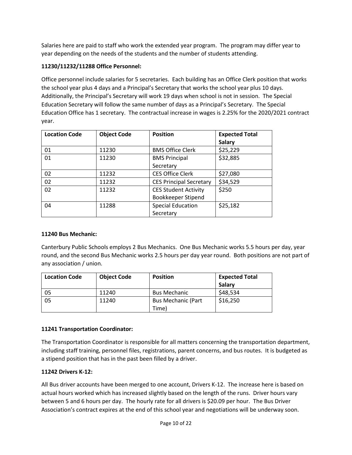Salaries here are paid to staff who work the extended year program. The program may differ year to year depending on the needs of the students and the number of students attending.

# **11230/11232/11288 Office Personnel:**

Office personnel include salaries for 5 secretaries. Each building has an Office Clerk position that works the school year plus 4 days and a Principal's Secretary that works the school year plus 10 days. Additionally, the Principal's Secretary will work 19 days when school is not in session. The Special Education Secretary will follow the same number of days as a Principal's Secretary. The Special Education Office has 1 secretary. The contractual increase in wages is 2.25% for the 2020/2021 contract year.

| <b>Location Code</b> | <b>Object Code</b> | <b>Position</b>                | <b>Expected Total</b> |
|----------------------|--------------------|--------------------------------|-----------------------|
|                      |                    |                                | <b>Salary</b>         |
| 01                   | 11230              | <b>BMS Office Clerk</b>        | \$25,229              |
| 01                   | 11230              | <b>BMS Principal</b>           | \$32,885              |
|                      |                    | Secretary                      |                       |
| 02                   | 11232              | <b>CES Office Clerk</b>        | \$27,080              |
| 02                   | 11232              | <b>CES Principal Secretary</b> | \$34,529              |
| 02                   | 11232              | <b>CES Student Activity</b>    | \$250                 |
|                      |                    | Bookkeeper Stipend             |                       |
| 04                   | 11288              | <b>Special Education</b>       | \$25,182              |
|                      |                    | Secretary                      |                       |

### **11240 Bus Mechanic:**

Canterbury Public Schools employs 2 Bus Mechanics. One Bus Mechanic works 5.5 hours per day, year round, and the second Bus Mechanic works 2.5 hours per day year round. Both positions are not part of any association / union.

| <b>Location Code</b> | <b>Object Code</b> | <b>Position</b>           | <b>Expected Total</b> |
|----------------------|--------------------|---------------------------|-----------------------|
|                      |                    |                           | Salary                |
| 05                   | 11240              | <b>Bus Mechanic</b>       | \$48,534              |
| 05                   | 11240              | <b>Bus Mechanic (Part</b> | \$16,250              |
|                      |                    | Time)                     |                       |

# **11241 Transportation Coordinator:**

The Transportation Coordinator is responsible for all matters concerning the transportation department, including staff training, personnel files, registrations, parent concerns, and bus routes. It is budgeted as a stipend position that has in the past been filled by a driver.

### **11242 Drivers K-12:**

All Bus driver accounts have been merged to one account, Drivers K-12. The increase here is based on actual hours worked which has increased slightly based on the length of the runs. Driver hours vary between 5 and 6 hours per day. The hourly rate for all drivers is \$20.09 per hour. The Bus Driver Association's contract expires at the end of this school year and negotiations will be underway soon.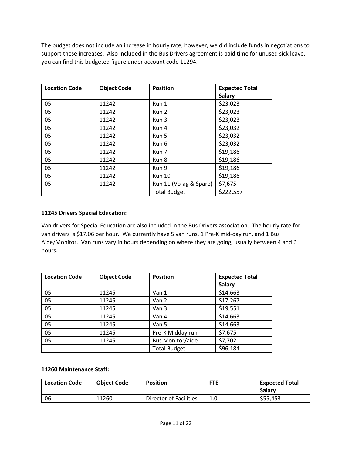The budget does not include an increase in hourly rate, however, we did include funds in negotiations to support these increases. Also included in the Bus Drivers agreement is paid time for unused sick leave, you can find this budgeted figure under account code 11294.

| <b>Location Code</b> | <b>Object Code</b> | <b>Position</b>        | <b>Expected Total</b> |
|----------------------|--------------------|------------------------|-----------------------|
|                      |                    |                        | <b>Salary</b>         |
| 05                   | 11242              | Run 1                  | \$23,023              |
| 05                   | 11242              | Run 2                  | \$23,023              |
| 05                   | 11242              | Run 3                  | \$23,023              |
| 05                   | 11242              | Run 4                  | \$23,032              |
| 05                   | 11242              | Run 5                  | \$23,032              |
| 05                   | 11242              | Run 6                  | \$23,032              |
| 05                   | 11242              | Run 7                  | \$19,186              |
| 05                   | 11242              | Run 8                  | \$19,186              |
| 05                   | 11242              | Run 9                  | \$19,186              |
| 05                   | 11242              | <b>Run 10</b>          | \$19,186              |
| 05                   | 11242              | Run 11 (Vo-ag & Spare) | \$7,675               |
|                      |                    | <b>Total Budget</b>    | \$222,557             |

# **11245 Drivers Special Education:**

Van drivers for Special Education are also included in the Bus Drivers association. The hourly rate for van drivers is \$17.06 per hour. We currently have 5 van runs, 1 Pre-K mid-day run, and 1 Bus Aide/Monitor. Van runs vary in hours depending on where they are going, usually between 4 and 6 hours.

| <b>Location Code</b> | <b>Object Code</b> | <b>Position</b>         | <b>Expected Total</b> |
|----------------------|--------------------|-------------------------|-----------------------|
|                      |                    |                         | <b>Salary</b>         |
| 05                   | 11245              | Van 1                   | \$14,663              |
| 05                   | 11245              | Van 2                   | \$17,267              |
| 05                   | 11245              | Van 3                   | \$19,551              |
| 05                   | 11245              | Van 4                   | \$14,663              |
| 05                   | 11245              | Van 5                   | \$14,663              |
| 05                   | 11245              | Pre-K Midday run        | \$7,675               |
| 05                   | 11245              | <b>Bus Monitor/aide</b> | \$7,702               |
|                      |                    | <b>Total Budget</b>     | \$96,184              |

### **11260 Maintenance Staff:**

| <b>Location Code</b> | <b>Object Code</b> | <b>Position</b>        | <b>FTE</b> | <b>Expected Total</b><br><b>Salary</b> |
|----------------------|--------------------|------------------------|------------|----------------------------------------|
| 06                   | 11260              | Director of Facilities | 1.0        | \$55,453                               |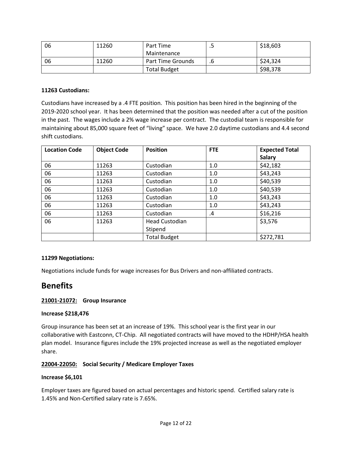| 06 | 11260 | Part Time                | . . | \$18,603 |
|----|-------|--------------------------|-----|----------|
|    |       | Maintenance              |     |          |
| 06 | 11260 | <b>Part Time Grounds</b> | .b  | \$24,324 |
|    |       | <b>Total Budget</b>      |     | \$98,378 |

### **11263 Custodians:**

Custodians have increased by a .4 FTE position. This position has been hired in the beginning of the 2019-2020 school year. It has been determined that the position was needed after a cut of the position in the past. The wages include a 2% wage increase per contract. The custodial team is responsible for maintaining about 85,000 square feet of "living" space. We have 2.0 daytime custodians and 4.4 second shift custodians.

| <b>Location Code</b> | <b>Object Code</b> | <b>Position</b>       | <b>FTE</b> | <b>Expected Total</b> |
|----------------------|--------------------|-----------------------|------------|-----------------------|
|                      |                    |                       |            | <b>Salary</b>         |
| 06                   | 11263              | Custodian             | 1.0        | \$42,182              |
| 06                   | 11263              | Custodian             | 1.0        | \$43,243              |
| 06                   | 11263              | Custodian             | 1.0        | \$40,539              |
| 06                   | 11263              | Custodian             | 1.0        | \$40,539              |
| 06                   | 11263              | Custodian             | 1.0        | \$43,243              |
| 06                   | 11263              | Custodian             | 1.0        | \$43,243              |
| 06                   | 11263              | Custodian             | .4         | \$16,216              |
| 06                   | 11263              | <b>Head Custodian</b> |            | \$3,576               |
|                      |                    | Stipend               |            |                       |
|                      |                    | <b>Total Budget</b>   |            | \$272,781             |

### **11299 Negotiations:**

Negotiations include funds for wage increases for Bus Drivers and non-affiliated contracts.

# **Benefits**

### **21001-21072: Group Insurance**

### **Increase \$218,476**

Group insurance has been set at an increase of 19%. This school year is the first year in our collaborative with Eastconn, CT-Chip. All negotiated contracts will have moved to the HDHP/HSA health plan model. Insurance figures include the 19% projected increase as well as the negotiated employer share.

# **22004-22050: Social Security / Medicare Employer Taxes**

### **Increase \$6,101**

Employer taxes are figured based on actual percentages and historic spend. Certified salary rate is 1.45% and Non-Certified salary rate is 7.65%.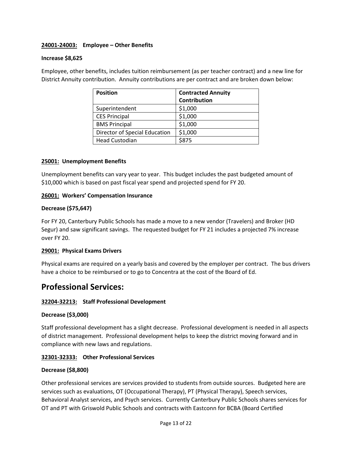### **24001-24003: Employee – Other Benefits**

### **Increase \$8,625**

Employee, other benefits, includes tuition reimbursement (as per teacher contract) and a new line for District Annuity contribution. Annuity contributions are per contract and are broken down below:

| <b>Position</b>               | <b>Contracted Annuity</b> |
|-------------------------------|---------------------------|
|                               | Contribution              |
| Superintendent                | \$1,000                   |
| <b>CES Principal</b>          | \$1,000                   |
| <b>BMS Principal</b>          | \$1,000                   |
| Director of Special Education | \$1,000                   |
| <b>Head Custodian</b>         | \$875                     |

### **25001: Unemployment Benefits**

Unemployment benefits can vary year to year. This budget includes the past budgeted amount of \$10,000 which is based on past fiscal year spend and projected spend for FY 20.

### **26001: Workers' Compensation Insurance**

### **Decrease (\$75,647)**

For FY 20, Canterbury Public Schools has made a move to a new vendor (Travelers) and Broker (HD Segur) and saw significant savings. The requested budget for FY 21 includes a projected 7% increase over FY 20.

### **29001: Physical Exams Drivers**

Physical exams are required on a yearly basis and covered by the employer per contract. The bus drivers have a choice to be reimbursed or to go to Concentra at the cost of the Board of Ed.

# **Professional Services:**

# **32204-32213: Staff Professional Development**

### **Decrease (\$3,000)**

Staff professional development has a slight decrease. Professional development is needed in all aspects of district management. Professional development helps to keep the district moving forward and in compliance with new laws and regulations.

### **32301-32333: Other Professional Services**

### **Decrease (\$8,800)**

Other professional services are services provided to students from outside sources. Budgeted here are services such as evaluations, OT (Occupational Therapy), PT (Physical Therapy), Speech services, Behavioral Analyst services, and Psych services. Currently Canterbury Public Schools shares services for OT and PT with Griswold Public Schools and contracts with Eastconn for BCBA (Board Certified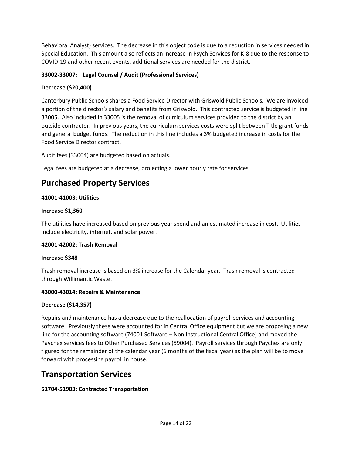Behavioral Analyst) services. The decrease in this object code is due to a reduction in services needed in Special Education. This amount also reflects an increase in Psych Services for K-8 due to the response to COVID-19 and other recent events, additional services are needed for the district.

# **33002-33007: Legal Counsel / Audit (Professional Services)**

# **Decrease (\$20,400)**

Canterbury Public Schools shares a Food Service Director with Griswold Public Schools. We are invoiced a portion of the director's salary and benefits from Griswold. This contracted service is budgeted in line 33005. Also included in 33005 is the removal of curriculum services provided to the district by an outside contractor. In previous years, the curriculum services costs were split between Title grant funds and general budget funds. The reduction in this line includes a 3% budgeted increase in costs for the Food Service Director contract.

Audit fees (33004) are budgeted based on actuals.

Legal fees are budgeted at a decrease, projecting a lower hourly rate for services.

# **Purchased Property Services**

# **41001-41003: Utilities**

### **Increase \$1,360**

The utilities have increased based on previous year spend and an estimated increase in cost. Utilities include electricity, internet, and solar power.

# **42001-42002: Trash Removal**

### **Increase \$348**

Trash removal increase is based on 3% increase for the Calendar year. Trash removal is contracted through Willimantic Waste.

### **43000-43014: Repairs & Maintenance**

# **Decrease (\$14,357)**

Repairs and maintenance has a decrease due to the reallocation of payroll services and accounting software. Previously these were accounted for in Central Office equipment but we are proposing a new line for the accounting software (74001 Software – Non Instructional Central Office) and moved the Paychex services fees to Other Purchased Services (59004). Payroll services through Paychex are only figured for the remainder of the calendar year (6 months of the fiscal year) as the plan will be to move forward with processing payroll in house.

# **Transportation Services**

# **51704-51903: Contracted Transportation**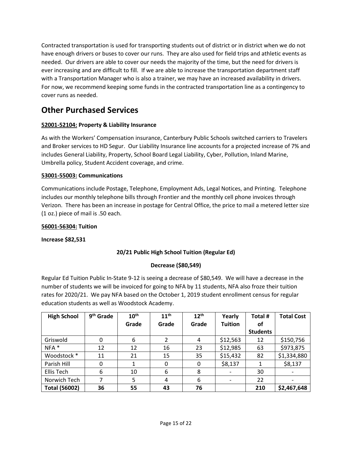Contracted transportation is used for transporting students out of district or in district when we do not have enough drivers or buses to cover our runs. They are also used for field trips and athletic events as needed. Our drivers are able to cover our needs the majority of the time, but the need for drivers is ever increasing and are difficult to fill. If we are able to increase the transportation department staff with a Transportation Manager who is also a trainer, we may have an increased availability in drivers. For now, we recommend keeping some funds in the contracted transportation line as a contingency to cover runs as needed.

# **Other Purchased Services**

# **52001-52104: Property & Liability Insurance**

As with the Workers' Compensation insurance, Canterbury Public Schools switched carriers to Travelers and Broker services to HD Segur. Our Liability Insurance line accounts for a projected increase of 7% and includes General Liability, Property, School Board Legal Liability, Cyber, Pollution, Inland Marine, Umbrella policy, Student Accident coverage, and crime.

# **53001-55003: Communications**

Communications include Postage, Telephone, Employment Ads, Legal Notices, and Printing. Telephone includes our monthly telephone bills through Frontier and the monthly cell phone invoices through Verizon. There has been an increase in postage for Central Office, the price to mail a metered letter size (1 oz.) piece of mail is .50 each.

# **56001-56304: Tuition**

**Increase \$82,531**

# **20/21 Public High School Tuition (Regular Ed)**

# **Decrease (\$80,549)**

Regular Ed Tuition Public In-State 9-12 is seeing a decrease of \$80,549. We will have a decrease in the number of students we will be invoiced for going to NFA by 11 students, NFA also froze their tuition rates for 2020/21. We pay NFA based on the October 1, 2019 student enrollment census for regular education students as well as Woodstock Academy.

| <b>High School</b>   | 9 <sup>th</sup> Grade | 10 <sup>th</sup> | 11 <sup>th</sup> | $12^{th}$ | Yearly                   | Total #         | <b>Total Cost</b> |
|----------------------|-----------------------|------------------|------------------|-----------|--------------------------|-----------------|-------------------|
|                      |                       | Grade            | Grade            | Grade     | <b>Tuition</b>           | οf              |                   |
|                      |                       |                  |                  |           |                          | <b>Students</b> |                   |
| Griswold             | 0                     | 6                | $\mathfrak{p}$   | 4         | \$12,563                 | 12              | \$150,756         |
| $NFA$ <sup>*</sup>   | 12                    | 12               | 16               | 23        | \$12,985                 | 63              | \$973,875         |
| Woodstock *          | 11                    | 21               | 15               | 35        | \$15,432                 | 82              | \$1,334,880       |
| Parish Hill          | 0                     |                  | 0                | 0         | \$8,137                  |                 | \$8,137           |
| Ellis Tech           | 6                     | 10               | 6                | 8         |                          | 30              |                   |
| Norwich Tech         | 7                     | 5                | 4                | 6         | $\overline{\phantom{a}}$ | 22              |                   |
| <b>Total (56002)</b> | 36                    | 55               | 43               | 76        |                          | 210             | \$2,467,648       |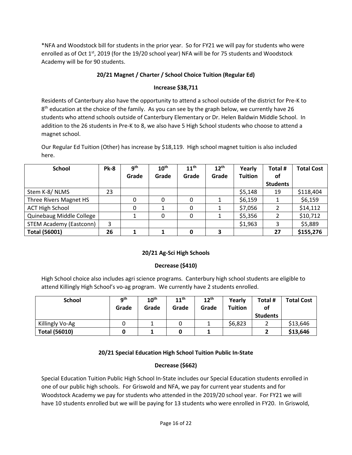\*NFA and Woodstock bill for students in the prior year. So for FY21 we will pay for students who were enrolled as of Oct  $1^{st}$ , 2019 (for the 19/20 school year) NFA will be for 75 students and Woodstock Academy will be for 90 students.

# **20/21 Magnet / Charter / School Choice Tuition (Regular Ed)**

# **Increase \$38,711**

Residents of Canterbury also have the opportunity to attend a school outside of the district for Pre-K to 8<sup>th</sup> education at the choice of the family. As you can see by the graph below, we currently have 26 students who attend schools outside of Canterbury Elementary or Dr. Helen Baldwin Middle School. In addition to the 26 students in Pre-K to 8, we also have 5 High School students who choose to attend a magnet school.

Our Regular Ed Tuition (Other) has increase by \$18,119. High school magnet tuition is also included here.

| <b>School</b>                  | <b>Pk-8</b> | <b>gth</b> | 10 <sup>th</sup> | $11^{\text{th}}$ | 12 <sup>th</sup> | Yearly         | Total #         | <b>Total Cost</b> |
|--------------------------------|-------------|------------|------------------|------------------|------------------|----------------|-----------------|-------------------|
|                                |             | Grade      | Grade            | Grade            | Grade            | <b>Tuition</b> | οf              |                   |
|                                |             |            |                  |                  |                  |                | <b>Students</b> |                   |
| Stem K-8/NLMS                  | 23          |            |                  |                  |                  | \$5,148        | 19              | \$118,404         |
| Three Rivers Magnet HS         |             |            | 0                | 0                |                  | \$6,159        |                 | \$6,159           |
| <b>ACT High School</b>         |             |            | 1                | 0                |                  | \$7,056        |                 | \$14,112          |
| Quinebaug Middle College       |             |            | 0                | 0                |                  | \$5,356        |                 | \$10,712          |
| <b>STEM Academy (Eastconn)</b> | 3           |            |                  |                  |                  | \$1,963        | 3               | \$5,889           |
| <b>Total (56001)</b>           | 26          |            |                  |                  | 3                |                | 27              | \$155,276         |

# **20/21 Ag-Sci High Schools**

# **Decrease (\$410)**

High School choice also includes agri science programs. Canterbury high school students are eligible to attend Killingly High School's vo-ag program. We currently have 2 students enrolled.

| <b>School</b>        | <b>g</b> th<br>Grade | 10 <sup>th</sup><br>Grade | 11 <sup>th</sup><br>Grade | 12 <sup>th</sup><br>Grade | Yearly<br><b>Tuition</b> | Total #<br>of<br><b>Students</b> | <b>Total Cost</b> |
|----------------------|----------------------|---------------------------|---------------------------|---------------------------|--------------------------|----------------------------------|-------------------|
| Killingly Vo-Ag      |                      |                           |                           |                           | \$6,823                  |                                  | \$13,646          |
| <b>Total (56010)</b> |                      |                           |                           |                           |                          |                                  | \$13,646          |

# **20/21 Special Education High School Tuition Public In-State**

# **Decrease (\$662)**

Special Education Tuition Public High School In-State includes our Special Education students enrolled in one of our public high schools. For Griswold and NFA, we pay for current year students and for Woodstock Academy we pay for students who attended in the 2019/20 school year. For FY21 we will have 10 students enrolled but we will be paying for 13 students who were enrolled in FY20. In Griswold,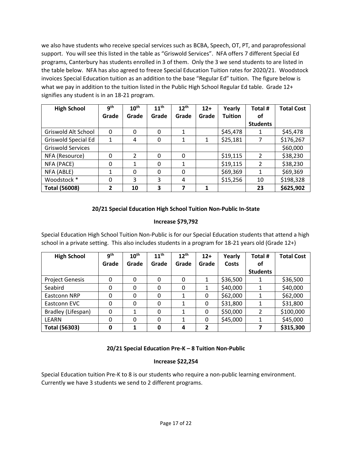we also have students who receive special services such as BCBA, Speech, OT, PT, and paraprofessional support. You will see this listed in the table as "Griswold Services". NFA offers 7 different Special Ed programs, Canterbury has students enrolled in 3 of them. Only the 3 we send students to are listed in the table below. NFA has also agreed to freeze Special Education Tuition rates for 2020/21. Woodstock invoices Special Education tuition as an addition to the base "Regular Ed" tuition. The figure below is what we pay in addition to the tuition listed in the Public High School Regular Ed table. Grade 12+ signifies any student is in an 18-21 program.

| <b>High School</b>         | gth   | 10 <sup>th</sup> | 11 <sup>th</sup> | $12^{th}$ | $12+$ | Yearly         | Total #         | <b>Total Cost</b> |
|----------------------------|-------|------------------|------------------|-----------|-------|----------------|-----------------|-------------------|
|                            | Grade | Grade            | Grade            | Grade     | Grade | <b>Tuition</b> | οf              |                   |
|                            |       |                  |                  |           |       |                | <b>Students</b> |                   |
| Griswold Alt School        | 0     | 0                | 0                |           |       | \$45,478       |                 | \$45,478          |
| <b>Griswold Special Ed</b> |       | 4                | 0                |           |       | \$25,181       |                 | \$176,267         |
| <b>Griswold Services</b>   |       |                  |                  |           |       |                |                 | \$60,000          |
| NFA (Resource)             | 0     | $\mathcal{P}$    | 0                | $\Omega$  |       | \$19,115       | $\mathfrak{p}$  | \$38,230          |
| NFA (PACE)                 | 0     | 1                | $\mathbf 0$      | 1         |       | \$19,115       | $\mathcal{P}$   | \$38,230          |
| NFA (ABLE)                 |       | $\Omega$         | $\Omega$         | $\Omega$  |       | \$69,369       | 1               | \$69,369          |
| Woodstock *                | 0     | 3                | 3                | 4         |       | \$15,256       | 10              | \$198,328         |
| <b>Total (56008)</b>       | 2     | 10               | 3                | 7         |       |                | 23              | \$625,902         |

# **20/21 Special Education High School Tuition Non-Public In-State**

# **Increase \$79,792**

Special Education High School Tuition Non-Public is for our Special Education students that attend a high school in a private setting. This also includes students in a program for 18-21 years old (Grade 12+)

| <b>High School</b>     | q <sup>th</sup> | $10^{\text{th}}$ | 11 <sup>th</sup> | $12^{th}$ | $12+$ | Yearly   | Total #         | <b>Total Cost</b> |
|------------------------|-----------------|------------------|------------------|-----------|-------|----------|-----------------|-------------------|
|                        | Grade           | Grade            | Grade            | Grade     | Grade | Costs    | οf              |                   |
|                        |                 |                  |                  |           |       |          | <b>Students</b> |                   |
| <b>Project Genesis</b> | 0               | 0                | $\Omega$         | 0         |       | \$36,500 |                 | \$36,500          |
| Seabird                | 0               | 0                | 0                | 0         | 1     | \$40,000 |                 | \$40,000          |
| Eastconn NRP           | 0               | 0                | 0                | 1         | 0     | \$62,000 |                 | \$62,000          |
| Eastconn EVC           | 0               | 0                | 0                | 1         | 0     | \$31,800 |                 | \$31,800          |
| Bradley (Lifespan)     | 0               |                  | 0                |           | 0     | \$50,000 |                 | \$100,000         |
| LEARN                  | 0               | 0                | $\Omega$         |           | 0     | \$45,000 |                 | \$45,000          |
| <b>Total (56303)</b>   |                 |                  | 0                | 4         | 2     |          |                 | \$315,300         |

# **20/21 Special Education Pre-K – 8 Tuition Non-Public**

# **Increase \$22,254**

Special Education tuition Pre-K to 8 is our students who require a non-public learning environment. Currently we have 3 students we send to 2 different programs.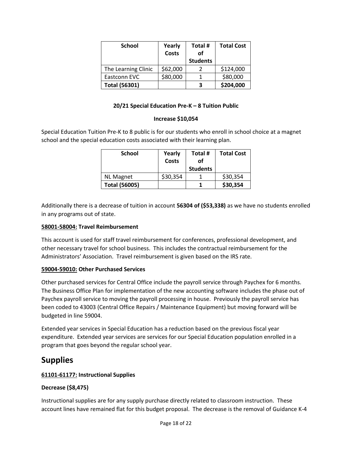| <b>School</b>        | Yearly<br><b>Costs</b> | Total #<br>of   | <b>Total Cost</b> |
|----------------------|------------------------|-----------------|-------------------|
|                      |                        | <b>Students</b> |                   |
| The Learning Clinic  | \$62,000               |                 | \$124,000         |
| Eastconn EVC         | \$80,000               |                 | \$80,000          |
| <b>Total (56301)</b> |                        | 3               | \$204,000         |

# **20/21 Special Education Pre-K – 8 Tuition Public**

### **Increase \$10,054**

Special Education Tuition Pre-K to 8 public is for our students who enroll in school choice at a magnet school and the special education costs associated with their learning plan.

| <b>School</b>        | Yearly<br>Costs | Total #<br>οf<br><b>Students</b> | <b>Total Cost</b> |
|----------------------|-----------------|----------------------------------|-------------------|
| <b>NL Magnet</b>     | \$30,354        |                                  | \$30,354          |
| <b>Total (56005)</b> |                 |                                  | \$30,354          |

Additionally there is a decrease of tuition in account **56304 of (\$53,338)** as we have no students enrolled in any programs out of state.

### **58001-58004: Travel Reimbursement**

This account is used for staff travel reimbursement for conferences, professional development, and other necessary travel for school business. This includes the contractual reimbursement for the Administrators' Association. Travel reimbursement is given based on the IRS rate.

### **59004-59010: Other Purchased Services**

Other purchased services for Central Office include the payroll service through Paychex for 6 months. The Business Office Plan for implementation of the new accounting software includes the phase out of Paychex payroll service to moving the payroll processing in house. Previously the payroll service has been coded to 43003 (Central Office Repairs / Maintenance Equipment) but moving forward will be budgeted in line 59004.

Extended year services in Special Education has a reduction based on the previous fiscal year expenditure. Extended year services are services for our Special Education population enrolled in a program that goes beyond the regular school year.

# **Supplies**

# **61101-61177: Instructional Supplies**

# **Decrease (\$8,475)**

Instructional supplies are for any supply purchase directly related to classroom instruction. These account lines have remained flat for this budget proposal. The decrease is the removal of Guidance K-4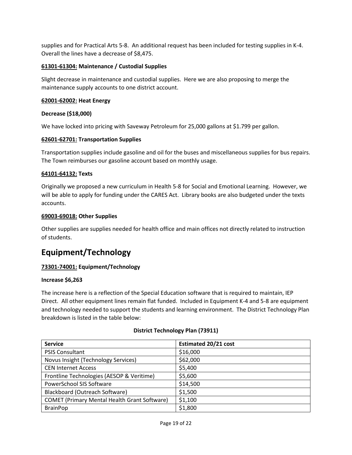supplies and for Practical Arts 5-8. An additional request has been included for testing supplies in K-4. Overall the lines have a decrease of \$8,475.

# **61301-61304: Maintenance / Custodial Supplies**

Slight decrease in maintenance and custodial supplies. Here we are also proposing to merge the maintenance supply accounts to one district account.

# **62001-62002: Heat Energy**

### **Decrease (\$18,000)**

We have locked into pricing with Saveway Petroleum for 25,000 gallons at \$1.799 per gallon.

### **62601-62701: Transportation Supplies**

Transportation supplies include gasoline and oil for the buses and miscellaneous supplies for bus repairs. The Town reimburses our gasoline account based on monthly usage.

### **64101-64132: Texts**

Originally we proposed a new curriculum in Health 5-8 for Social and Emotional Learning. However, we will be able to apply for funding under the CARES Act. Library books are also budgeted under the texts accounts.

### **69003-69018: Other Supplies**

Other supplies are supplies needed for health office and main offices not directly related to instruction of students.

# **Equipment/Technology**

# **73301-74001: Equipment/Technology**

### **Increase \$6,263**

The increase here is a reflection of the Special Education software that is required to maintain, IEP Direct. All other equipment lines remain flat funded. Included in Equipment K-4 and 5-8 are equipment and technology needed to support the students and learning environment. The District Technology Plan breakdown is listed in the table below:

| <b>Service</b>                                      | <b>Estimated 20/21 cost</b> |
|-----------------------------------------------------|-----------------------------|
| <b>PSIS Consultant</b>                              | \$16,000                    |
| Novus Insight (Technology Services)                 | \$62,000                    |
| <b>CEN Internet Access</b>                          | \$5,400                     |
| Frontline Technologies (AESOP & Veritime)           | \$5,600                     |
| PowerSchool SIS Software                            | \$14,500                    |
| Blackboard (Outreach Software)                      | \$1,500                     |
| <b>COMET (Primary Mental Health Grant Software)</b> | \$1,100                     |
| <b>BrainPop</b>                                     | \$1,800                     |

# **District Technology Plan (73911)**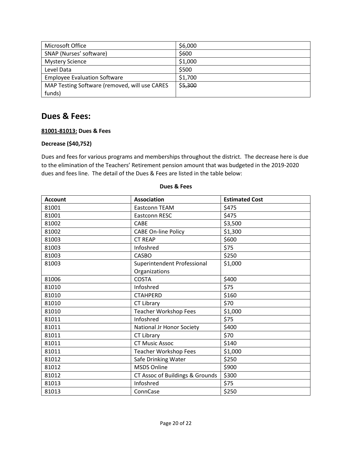| Microsoft Office                              | \$6,000 |
|-----------------------------------------------|---------|
| SNAP (Nurses' software)                       | \$600   |
| <b>Mystery Science</b>                        | \$1,000 |
| Level Data                                    | \$500   |
| <b>Employee Evaluation Software</b>           | \$1,700 |
| MAP Testing Software (removed, will use CARES | \$5,300 |
| funds)                                        |         |

# **Dues & Fees:**

### **81001-81013: Dues & Fees**

### **Decrease (\$40,752)**

Dues and fees for various programs and memberships throughout the district. The decrease here is due to the elimination of the Teachers' Retirement pension amount that was budgeted in the 2019-2020 dues and fees line. The detail of the Dues & Fees are listed in the table below:

| <b>Account</b> | <b>Association</b>              | <b>Estimated Cost</b> |
|----------------|---------------------------------|-----------------------|
| 81001          | Eastconn TEAM                   | \$475                 |
| 81001          | Eastconn RESC                   | \$475                 |
| 81002          | CABE                            | \$3,500               |
| 81002          | <b>CABE On-line Policy</b>      | \$1,300               |
| 81003          | <b>CT REAP</b>                  | \$600                 |
| 81003          | Infoshred                       | \$75                  |
| 81003          | <b>CASBO</b>                    | \$250                 |
| 81003          | Superintendent Professional     | \$1,000               |
|                | Organizations                   |                       |
| 81006          | <b>COSTA</b>                    | \$400                 |
| 81010          | Infoshred                       | \$75                  |
| 81010          | <b>CTAHPERD</b>                 | \$160                 |
| 81010          | CT Library                      | \$70                  |
| 81010          | <b>Teacher Workshop Fees</b>    | \$1,000               |
| 81011          | Infoshred                       | \$75                  |
| 81011          | National Jr Honor Society       | \$400                 |
| 81011          | CT Library                      | \$70                  |
| 81011          | <b>CT Music Assoc</b>           | \$140                 |
| 81011          | <b>Teacher Workshop Fees</b>    | \$1,000               |
| 81012          | Safe Drinking Water             | \$250                 |
| 81012          | <b>MSDS Online</b>              | \$900                 |
| 81012          | CT Assoc of Buildings & Grounds | \$300                 |
| 81013          | Infoshred                       | \$75                  |
| 81013          | ConnCase                        | \$250                 |

#### **Dues & Fees**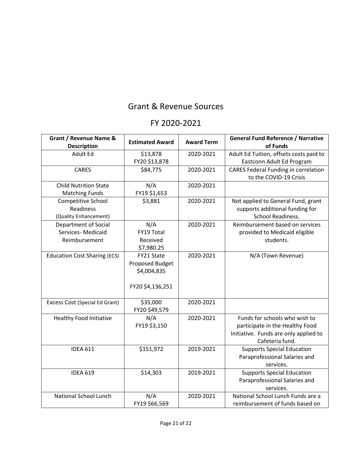# Grant & Revenue Sources

# FY 2020-2021

| Grant / Revenue Name &<br><b>Description</b>                       | <b>Estimated Award</b>                                           | <b>Award Term</b> | <b>General Fund Reference / Narrative</b><br>of Funds                                                                        |
|--------------------------------------------------------------------|------------------------------------------------------------------|-------------------|------------------------------------------------------------------------------------------------------------------------------|
| Adult Ed                                                           | \$13,878                                                         | 2020-2021         | Adult Ed Tuition, offsets costs paid to                                                                                      |
|                                                                    | FY20 \$13,878                                                    |                   | Eastconn Adult Ed Program                                                                                                    |
| <b>CARES</b>                                                       | \$84,775                                                         | 2020-2021         | <b>CARES Federal Funding in correlation</b><br>to the COVID-19 Crisis                                                        |
| <b>Child Nutrition State</b>                                       | N/A                                                              | 2020-2021         |                                                                                                                              |
| <b>Matching Funds</b>                                              | FY19 \$1,653                                                     |                   |                                                                                                                              |
| Competitive School<br><b>Readiness</b><br>(Quality Enhancement)    | \$3,881                                                          | 2020-2021         | Not applied to General Fund, grant<br>supports additional funding for<br>School Readiness.                                   |
| <b>Department of Social</b><br>Services- Medicaid<br>Reimbursement | N/A<br>FY19 Total<br>Received<br>\$7,980.25                      | 2020-2021         | Reimbursement based on services<br>provided to Medicaid eligible<br>students.                                                |
| <b>Education Cost Sharing (ECS)</b>                                | FY21 State<br>Proposed Budget<br>\$4,004,835<br>FY20 \$4,136,251 | 2020-2021         | N/A (Town Revenue)                                                                                                           |
| Excess Cost (Special Ed Grant)                                     | \$35,000<br>FY20 \$49,579                                        | 2020-2021         |                                                                                                                              |
| Healthy Food Initiative                                            | N/A<br>FY19 \$3,150                                              | 2020-2021         | Funds for schools who wish to<br>participate in the Healthy Food<br>Initiative. Funds are only applied to<br>Cafeteria fund. |
| <b>IDEA 611</b>                                                    | \$151,972                                                        | 2019-2021         | <b>Supports Special Education</b><br>Paraprofessional Salaries and<br>services.                                              |
| <b>IDEA 619</b>                                                    | \$14,303                                                         | 2019-2021         | <b>Supports Special Education</b><br>Paraprofessional Salaries and<br>services.                                              |
| <b>National School Lunch</b>                                       | N/A<br>FY19 \$66,569                                             | 2020-2021         | National School Lunch Funds are a<br>reimbursement of funds based on                                                         |